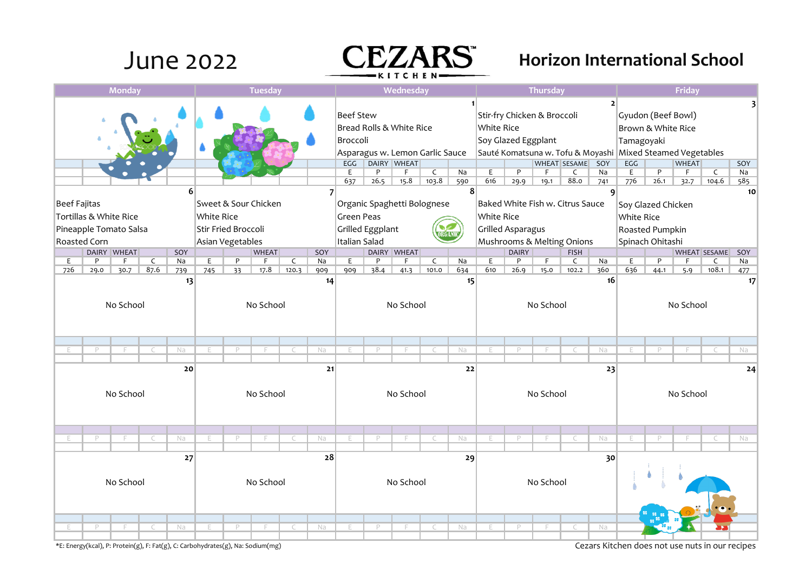## June 2022 **CEZARS** Horizon International School